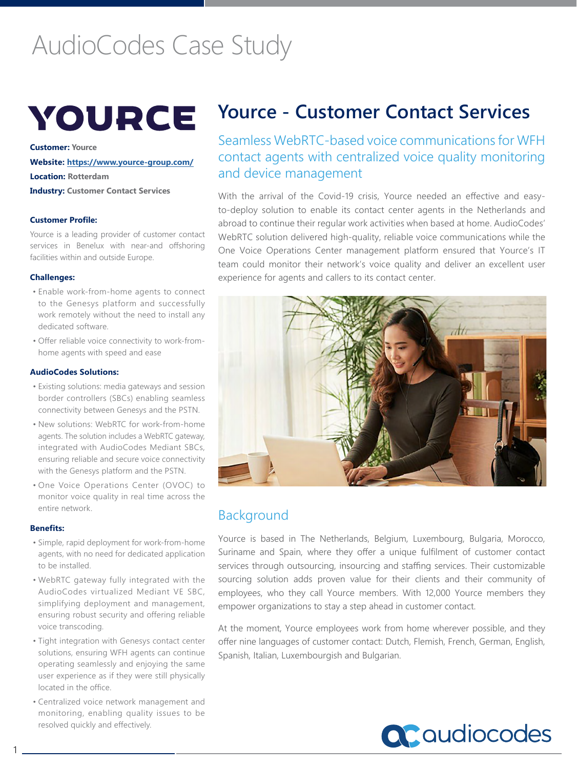# AudioCodes Case Study



**Customer: Yource Website: https://www.yource-group.com/ Location: Rotterdam Industry: Customer Contact Services** 

**Customer Profile:**

Yource is a leading provider of customer contact services in Benelux with near-and offshoring facilities within and outside Europe.

### **Challenges:**

- Enable work-from-home agents to connect to the Genesys platform and successfully work remotely without the need to install any dedicated software.
- Offer reliable voice connectivity to work-fromhome agents with speed and ease

### **AudioCodes Solutions:**

- Existing solutions: media gateways and session border controllers (SBCs) enabling seamless connectivity between Genesys and the PSTN.
- New solutions: WebRTC for work-from-home agents. The solution includes a WebRTC gateway, integrated with AudioCodes Mediant SBCs, ensuring reliable and secure voice connectivity with the Genesys platform and the PSTN.
- One Voice Operations Center (OVOC) to monitor voice quality in real time across the entire network.

#### **Benefits:**

- Simple, rapid deployment for work-from-home agents, with no need for dedicated application to be installed.
- WebRTC gateway fully integrated with the AudioCodes virtualized Mediant VE SBC, simplifying deployment and management, ensuring robust security and offering reliable voice transcoding.
- Tight integration with Genesys contact center solutions, ensuring WFH agents can continue operating seamlessly and enjoying the same user experience as if they were still physically located in the office.
- Centralized voice network management and monitoring, enabling quality issues to be resolved quickly and effectively.

# **Yource - Customer Contact Services**

Seamless WebRTC-based voice communications for WFH contact agents with centralized voice quality monitoring and device management

With the arrival of the Covid-19 crisis, Yource needed an effective and easyto-deploy solution to enable its contact center agents in the Netherlands and abroad to continue their regular work activities when based at home. AudioCodes' WebRTC solution delivered high-quality, reliable voice communications while the One Voice Operations Center management platform ensured that Yource's IT team could monitor their network's voice quality and deliver an excellent user experience for agents and callers to its contact center.



# Background

Yource is based in The Netherlands, Belgium, Luxembourg, Bulgaria, Morocco, Suriname and Spain, where they offer a unique fulfilment of customer contact services through outsourcing, insourcing and staffing services. Their customizable sourcing solution adds proven value for their clients and their community of employees, who they call Yource members. With 12,000 Yource members they empower organizations to stay a step ahead in customer contact.

At the moment, Yource employees work from home wherever possible, and they offer nine languages of customer contact: Dutch, Flemish, French, German, English, Spanish, Italian, Luxembourgish and Bulgarian.

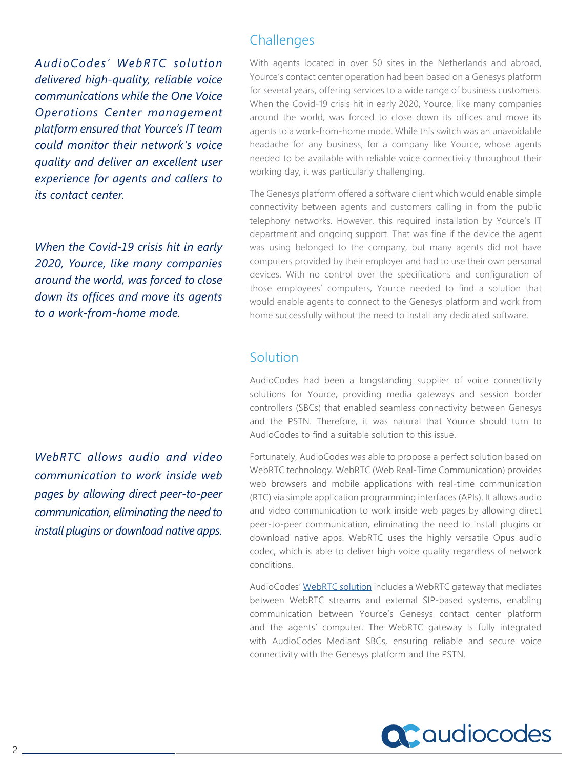*AudioCodes' WebRTC solution delivered high-quality, reliable voice communications while the One Voice Operations Center management platform ensured that Yource's IT team could monitor their network's voice quality and deliver an excellent user experience for agents and callers to its contact center.*

*When the Covid-19 crisis hit in early 2020, Yource, like many companies around the world, was forced to close down its offices and move its agents to a work-from-home mode.*

*WebRTC allows audio and video communication to work inside web pages by allowing direct peer-to-peer communication, eliminating the need to install plugins or download native apps.*

# **Challenges**

With agents located in over 50 sites in the Netherlands and abroad, Yource's contact center operation had been based on a Genesys platform for several years, offering services to a wide range of business customers. When the Covid-19 crisis hit in early 2020, Yource, like many companies around the world, was forced to close down its offices and move its agents to a work-from-home mode. While this switch was an unavoidable headache for any business, for a company like Yource, whose agents needed to be available with reliable voice connectivity throughout their working day, it was particularly challenging.

The Genesys platform offered a software client which would enable simple connectivity between agents and customers calling in from the public telephony networks. However, this required installation by Yource's IT department and ongoing support. That was fine if the device the agent was using belonged to the company, but many agents did not have computers provided by their employer and had to use their own personal devices. With no control over the specifications and configuration of those employees' computers, Yource needed to find a solution that would enable agents to connect to the Genesys platform and work from home successfully without the need to install any dedicated software.

## Solution

AudioCodes had been a longstanding supplier of voice connectivity solutions for Yource, providing media gateways and session border controllers (SBCs) that enabled seamless connectivity between Genesys and the PSTN. Therefore, it was natural that Yource should turn to AudioCodes to find a suitable solution to this issue.

Fortunately, AudioCodes was able to propose a perfect solution based on WebRTC technology. WebRTC (Web Real-Time Communication) provides web browsers and mobile applications with real-time communication (RTC) via simple application programming interfaces (APIs). It allows audio and video communication to work inside web pages by allowing direct peer-to-peer communication, eliminating the need to install plugins or download native apps. WebRTC uses the highly versatile Opus audio codec, which is able to deliver high voice quality regardless of network conditions.

AudioCodes' [WebRTC solution](https://www.audiocodes.com/solutions-products/solutions/intelligent-contact-center-transformation/webrtc-gateway) includes a WebRTC gateway that mediates between WebRTC streams and external SIP-based systems, enabling communication between Yource's Genesys contact center platform and the agents' computer. The WebRTC gateway is fully integrated with AudioCodes Mediant SBCs, ensuring reliable and secure voice connectivity with the Genesys platform and the PSTN.